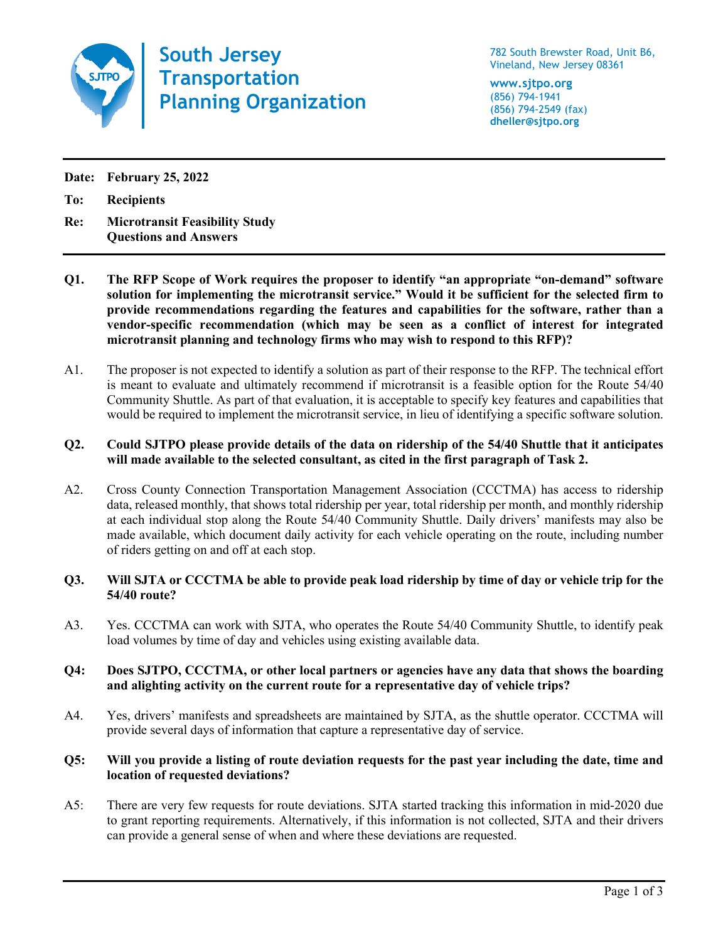

**South Jersey Transportation Planning Organization**

782 South Brewster Road, Unit B6, Vineland, New Jersey 08361

**www.sjtpo.org** (856) 794-1941 (856) 794-2549 (fax) **dheller@sjtpo.org**

**Date: February 25, 2022**

**To: Recipients**

- **Re: Microtransit Feasibility Study Questions and Answers**
- **Q1. The RFP Scope of Work requires the proposer to identify "an appropriate "on-demand" software solution for implementing the microtransit service." Would it be sufficient for the selected firm to provide recommendations regarding the features and capabilities for the software, rather than a vendor-specific recommendation (which may be seen as a conflict of interest for integrated microtransit planning and technology firms who may wish to respond to this RFP)?**
- A1. The proposer is not expected to identify a solution as part of their response to the RFP. The technical effort is meant to evaluate and ultimately recommend if microtransit is a feasible option for the Route 54/40 Community Shuttle. As part of that evaluation, it is acceptable to specify key features and capabilities that would be required to implement the microtransit service, in lieu of identifying a specific software solution.

# **Q2. Could SJTPO please provide details of the data on ridership of the 54/40 Shuttle that it anticipates will made available to the selected consultant, as cited in the first paragraph of Task 2.**

A2. Cross County Connection Transportation Management Association (CCCTMA) has access to ridership data, released monthly, that shows total ridership per year, total ridership per month, and monthly ridership at each individual stop along the Route 54/40 Community Shuttle. Daily drivers' manifests may also be made available, which document daily activity for each vehicle operating on the route, including number of riders getting on and off at each stop.

## **Q3. Will SJTA or CCCTMA be able to provide peak load ridership by time of day or vehicle trip for the 54/40 route?**

A3. Yes. CCCTMA can work with SJTA, who operates the Route 54/40 Community Shuttle, to identify peak load volumes by time of day and vehicles using existing available data.

## **Q4: Does SJTPO, CCCTMA, or other local partners or agencies have any data that shows the boarding and alighting activity on the current route for a representative day of vehicle trips?**

A4. Yes, drivers' manifests and spreadsheets are maintained by SJTA, as the shuttle operator. CCCTMA will provide several days of information that capture a representative day of service.

## **Q5: Will you provide a listing of route deviation requests for the past year including the date, time and location of requested deviations?**

A5: There are very few requests for route deviations. SJTA started tracking this information in mid-2020 due to grant reporting requirements. Alternatively, if this information is not collected, SJTA and their drivers can provide a general sense of when and where these deviations are requested.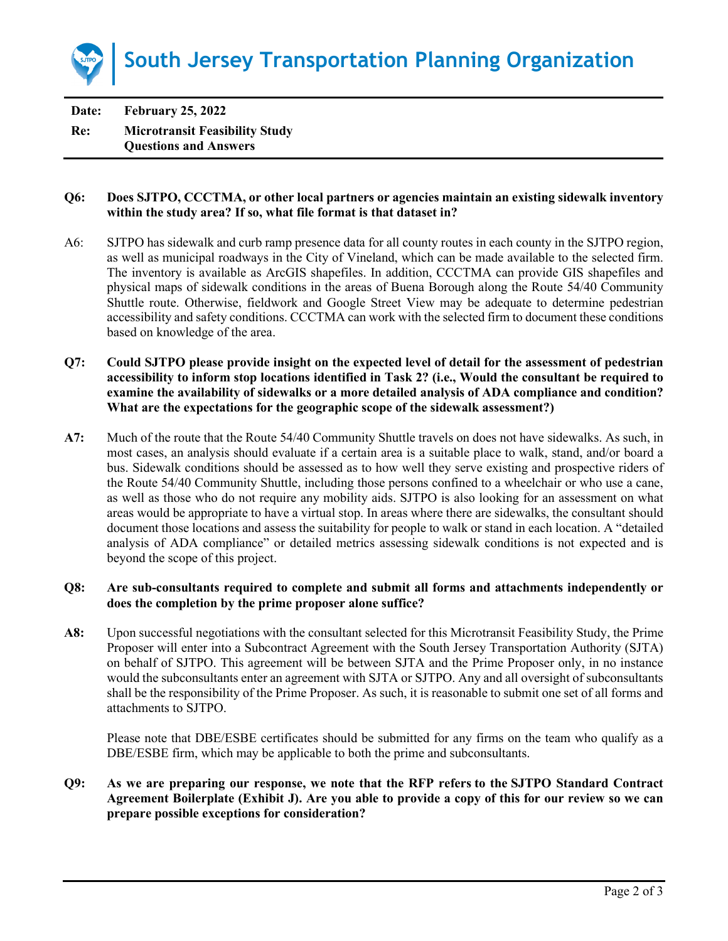

**Date: February 25, 2022 Re: Microtransit Feasibility Study Questions and Answers**

### **Q6: Does SJTPO, CCCTMA, or other local partners or agencies maintain an existing sidewalk inventory within the study area? If so, what file format is that dataset in?**

- A6: SJTPO has sidewalk and curb ramp presence data for all county routes in each county in the SJTPO region, as well as municipal roadways in the City of Vineland, which can be made available to the selected firm. The inventory is available as ArcGIS shapefiles. In addition, CCCTMA can provide GIS shapefiles and physical maps of sidewalk conditions in the areas of Buena Borough along the Route 54/40 Community Shuttle route. Otherwise, fieldwork and Google Street View may be adequate to determine pedestrian accessibility and safety conditions. CCCTMA can work with the selected firm to document these conditions based on knowledge of the area.
- **Q7: Could SJTPO please provide insight on the expected level of detail for the assessment of pedestrian accessibility to inform stop locations identified in Task 2? (i.e., Would the consultant be required to examine the availability of sidewalks or a more detailed analysis of ADA compliance and condition? What are the expectations for the geographic scope of the sidewalk assessment?)**
- **A7:** Much of the route that the Route 54/40 Community Shuttle travels on does not have sidewalks. As such, in most cases, an analysis should evaluate if a certain area is a suitable place to walk, stand, and/or board a bus. Sidewalk conditions should be assessed as to how well they serve existing and prospective riders of the Route 54/40 Community Shuttle, including those persons confined to a wheelchair or who use a cane, as well as those who do not require any mobility aids. SJTPO is also looking for an assessment on what areas would be appropriate to have a virtual stop. In areas where there are sidewalks, the consultant should document those locations and assess the suitability for people to walk or stand in each location. A "detailed analysis of ADA compliance" or detailed metrics assessing sidewalk conditions is not expected and is beyond the scope of this project.

### **Q8: Are sub-consultants required to complete and submit all forms and attachments independently or does the completion by the prime proposer alone suffice?**

**A8:** Upon successful negotiations with the consultant selected for this Microtransit Feasibility Study, the Prime Proposer will enter into a Subcontract Agreement with the South Jersey Transportation Authority (SJTA) on behalf of SJTPO. This agreement will be between SJTA and the Prime Proposer only, in no instance would the subconsultants enter an agreement with SJTA or SJTPO. Any and all oversight of subconsultants shall be the responsibility of the Prime Proposer. As such, it is reasonable to submit one set of all forms and attachments to SJTPO.

Please note that DBE/ESBE certificates should be submitted for any firms on the team who qualify as a DBE/ESBE firm, which may be applicable to both the prime and subconsultants.

**Q9: As we are preparing our response, we note that the RFP refers to the SJTPO Standard Contract Agreement Boilerplate (Exhibit J). Are you able to provide a copy of this for our review so we can prepare possible exceptions for consideration?**